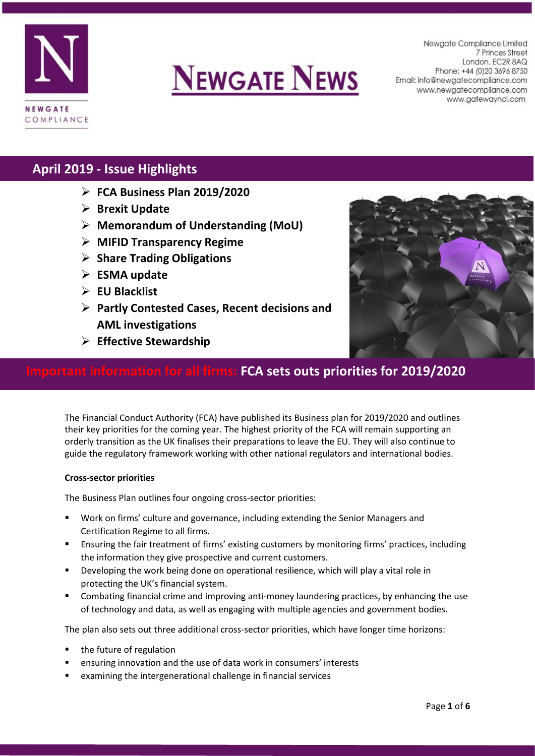



## **April 2019 - Issue Highlights**

- ➢ **FCA Business Plan 2019/2020**
- ➢ **Brexit Update**
- ➢ **Memorandum of Understanding (MoU)**
- ➢ **MIFID Transparency Regime**
- ➢ **Share Trading Obligations**
- ➢ **ESMA update**
- ➢ **EU Blacklist**
- ➢ **Partly Contested Cases, Recent decisions and AML investigations**
- ➢ **Effective Stewardship**



## **Important information for all firms: FCA sets outs priorities for 2019/2020**

The Financial Conduct Authority (FCA) have published its Business plan for 2019/2020 and outlines their key priorities for the coming year. The highest priority of the FCA will remain supporting an orderly transition as the UK finalises their preparations to leave the EU. They will also continue to guide the regulatory framework working with other national regulators and international bodies.

#### **Cross-sector priorities**

The Business Plan outlines four ongoing cross-sector priorities:

- Work on firms' culture and governance, including extending the Senior Managers and Certification Regime to all firms.
- **E** Ensuring the fair treatment of firms' existing customers by monitoring firms' practices, including the information they give prospective and current customers.
- **•** Developing the work being done on operational resilience, which will play a vital role in protecting the UK's financial system.
- Combating financial crime and improving anti-money laundering practices, by enhancing the use of technology and data, as well as engaging with multiple agencies and government bodies.

The plan also sets out three additional cross-sector priorities, which have longer time horizons:

- the future of regulation
- ensuring innovation and the use of data work in consumers' interests
- examining the intergenerational challenge in financial services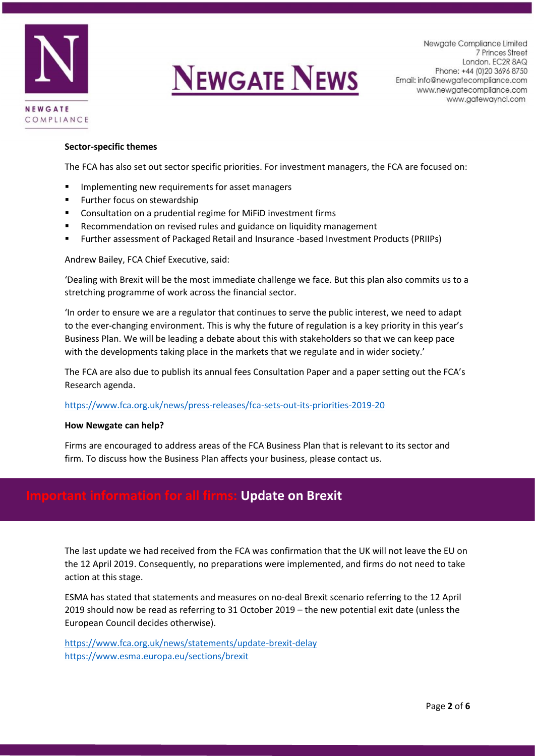



#### **Sector-specific themes**

The FCA has also set out sector specific priorities. For investment managers, the FCA are focused on:

- Implementing new requirements for asset managers
- Further focus on stewardship
- Consultation on a prudential regime for MiFiD investment firms
- Recommendation on revised rules and guidance on liquidity management
- Further assessment of Packaged Retail and Insurance -based Investment Products (PRIIPs)

Andrew Bailey, FCA Chief Executive, said:

'Dealing with Brexit will be the most immediate challenge we face. But this plan also commits us to a stretching programme of work across the financial sector.

'In order to ensure we are a regulator that continues to serve the public interest, we need to adapt to the ever-changing environment. This is why the future of regulation is a key priority in this year's Business Plan. We will be leading a debate about this with stakeholders so that we can keep pace with the developments taking place in the markets that we regulate and in wider society.'

The FCA are also due to publish its annual fees Consultation Paper and a paper setting out the FCA's Research agenda.

#### <https://www.fca.org.uk/news/press-releases/fca-sets-out-its-priorities-2019-20>

#### **How Newgate can help?**

Firms are encouraged to address areas of the FCA Business Plan that is relevant to its sector and firm. To discuss how the Business Plan affects your business, please contact us.

## **Important information for all firms: Update on Brexit**

The last update we had received from the FCA was confirmation that the UK will not leave the EU on the 12 April 2019. Consequently, no preparations were implemented, and firms do not need to take action at this stage.

ESMA has stated that statements and measures on no-deal Brexit scenario referring to the 12 April 2019 should now be read as referring to 31 October 2019 – the new potential exit date (unless the European Council decides otherwise).

<https://www.fca.org.uk/news/statements/update-brexit-delay> <https://www.esma.europa.eu/sections/brexit>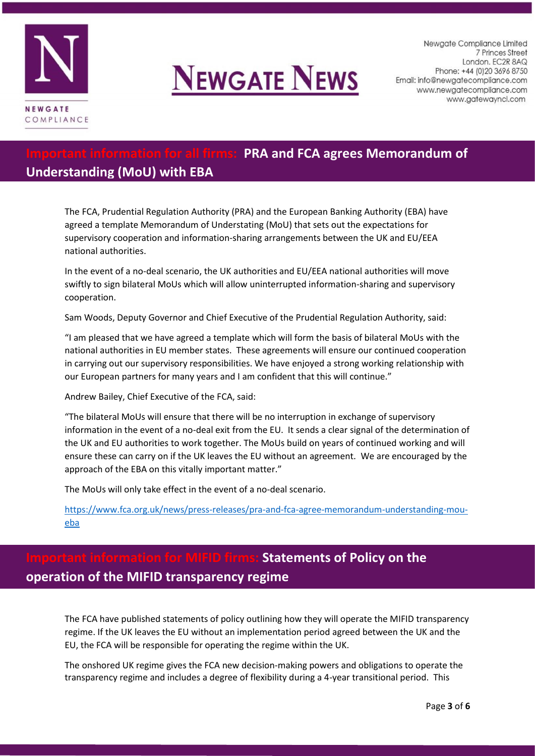



# *<u>Information PRA and FCA agrees Memorandum of*</u>

## **Understanding (MoU) with EBA**

The FCA, Prudential Regulation Authority (PRA) and the European Banking Authority (EBA) have agreed a template Memorandum of Understating (MoU) that sets out the expectations for supervisory cooperation and information-sharing arrangements between the UK and EU/EEA national authorities.

In the event of a no-deal scenario, the UK authorities and EU/EEA national authorities will move swiftly to sign bilateral MoUs which will allow uninterrupted information-sharing and supervisory cooperation.

Sam Woods, Deputy Governor and Chief Executive of the Prudential Regulation Authority, said:

"I am pleased that we have agreed a template which will form the basis of bilateral MoUs with the national authorities in EU member states. These agreements will ensure our continued cooperation in carrying out our supervisory responsibilities. We have enjoyed a strong working relationship with our European partners for many years and I am confident that this will continue."

Andrew Bailey, Chief Executive of the FCA, said:

"The bilateral MoUs will ensure that there will be no interruption in exchange of supervisory information in the event of a no-deal exit from the EU. It sends a clear signal of the determination of the UK and EU authorities to work together. The MoUs build on years of continued working and will ensure these can carry on if the UK leaves the EU without an agreement. We are encouraged by the approach of the EBA on this vitally important matter."

The MoUs will only take effect in the event of a no-deal scenario.

[https://www.fca.org.uk/news/press-releases/pra-and-fca-agree-memorandum-understanding-mou](https://www.fca.org.uk/news/press-releases/pra-and-fca-agree-memorandum-understanding-mou-eba)[eba](https://www.fca.org.uk/news/press-releases/pra-and-fca-agree-memorandum-understanding-mou-eba)

# **In for MIFID firms: Statements of Policy on the operation of the MIFID transparency regime**

The FCA have published statements of policy outlining how they will operate the MIFID transparency regime. If the UK leaves the EU without an implementation period agreed between the UK and the EU, the FCA will be responsible for operating the regime within the UK.

The onshored UK regime gives the FCA new decision-making powers and obligations to operate the transparency regime and includes a degree of flexibility during a 4-year transitional period. This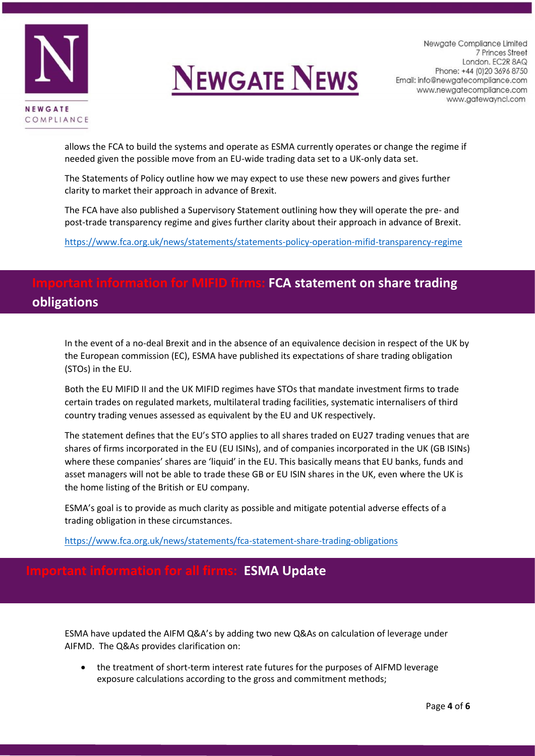



allows the FCA to build the systems and operate as ESMA currently operates or change the regime if needed given the possible move from an EU-wide trading data set to a UK-only data set.

The Statements of Policy outline how we may expect to use these new powers and gives further clarity to market their approach in advance of Brexit.

The FCA have also published a Supervisory Statement outlining how they will operate the pre- and post-trade transparency regime and gives further clarity about their approach in advance of Brexit.

<https://www.fca.org.uk/news/statements/statements-policy-operation-mifid-transparency-regime>

# **IFID** firms: FCA statement on share trading **obligations**

In the event of a no-deal Brexit and in the absence of an equivalence decision in respect of the UK by the European commission (EC), ESMA have published its expectations of share trading obligation (STOs) in the EU.

Both the EU MIFID II and the UK MIFID regimes have STOs that mandate investment firms to trade certain trades on regulated markets, multilateral trading facilities, systematic internalisers of third country trading venues assessed as equivalent by the EU and UK respectively.

The statement defines that the EU's STO applies to all shares traded on EU27 trading venues that are shares of firms incorporated in the EU (EU ISINs), and of companies incorporated in the UK (GB ISINs) where these companies' shares are 'liquid' in the EU. This basically means that EU banks, funds and asset managers will not be able to trade these GB or EU ISIN shares in the UK, even where the UK is the home listing of the British or EU company.

ESMA's goal is to provide as much clarity as possible and mitigate potential adverse effects of a trading obligation in these circumstances.

<https://www.fca.org.uk/news/statements/fca-statement-share-trading-obligations>

### **Important information for all firms: ESMA Update**

ESMA have updated the AIFM Q&A's by adding two new Q&As on calculation of leverage under AIFMD. The Q&As provides clarification on:

• the treatment of short-term interest rate futures for the purposes of AIFMD leverage exposure calculations according to the gross and commitment methods;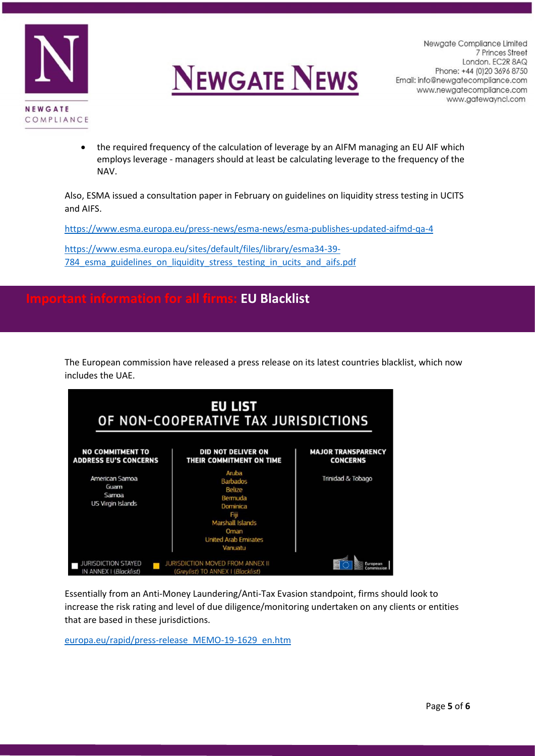



• the required frequency of the calculation of leverage by an AIFM managing an EU AIF which employs leverage - managers should at least be calculating leverage to the frequency of the NAV.

Also, ESMA issued a consultation paper in February on guidelines on liquidity stress testing in UCITS and AIFS.

<https://www.esma.europa.eu/press-news/esma-news/esma-publishes-updated-aifmd-qa-4>

[https://www.esma.europa.eu/sites/default/files/library/esma34-39-](https://www.esma.europa.eu/sites/default/files/library/esma34-39-784_esma_guidelines_on_liquidity_stress_testing_in_ucits_and_aifs.pdf) 784 esma guidelines on liquidity stress testing in ucits and aifs.pdf

## **Important information for all firms: EU Blacklist**

The European commission have released a press release on its latest countries blacklist, which now includes the UAE.



Essentially from an Anti-Money Laundering/Anti-Tax Evasion standpoint, firms should look to increase the risk rating and level of due diligence/monitoring undertaken on any clients or entities that are based in these jurisdictions.

[europa.eu/rapid/press-release\\_MEMO-19-1629\\_en.htm](https://systems.newgatecompliance.com/owncloud/remote.php/webdav/Business/Compliance%20consultation/Newsletters/2019%2002/europa.eu/rapid/press-release_MEMO-19-1629_en.htm)